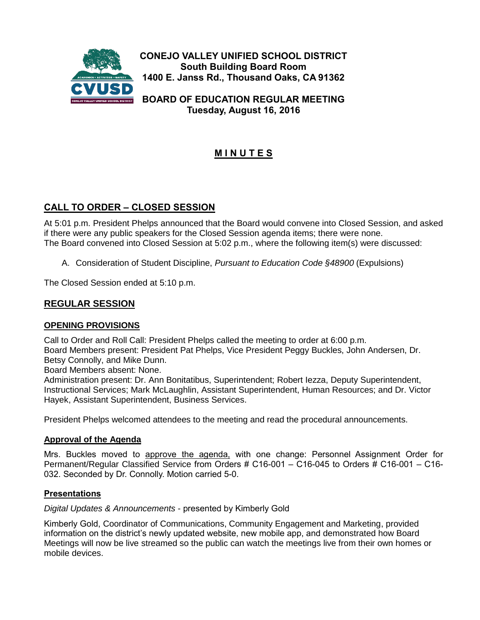

**CONEJO VALLEY UNIFIED SCHOOL DISTRICT South Building Board Room 1400 E. Janss Rd., Thousand Oaks, CA 91362**

**BOARD OF EDUCATION REGULAR MEETING Tuesday, August 16, 2016**

# **M I N U T E S**

## **CALL TO ORDER – CLOSED SESSION**

At 5:01 p.m. President Phelps announced that the Board would convene into Closed Session, and asked if there were any public speakers for the Closed Session agenda items; there were none. The Board convened into Closed Session at 5:02 p.m., where the following item(s) were discussed:

A. Consideration of Student Discipline, *Pursuant to Education Code §48900* (Expulsions)

The Closed Session ended at 5:10 p.m.

### **REGULAR SESSION**

### **OPENING PROVISIONS**

Call to Order and Roll Call: President Phelps called the meeting to order at 6:00 p.m. Board Members present: President Pat Phelps, Vice President Peggy Buckles, John Andersen, Dr. Betsy Connolly, and Mike Dunn.

Board Members absent: None.

Administration present: Dr. Ann Bonitatibus, Superintendent; Robert Iezza, Deputy Superintendent, Instructional Services; Mark McLaughlin, Assistant Superintendent, Human Resources; and Dr. Victor Hayek, Assistant Superintendent, Business Services.

President Phelps welcomed attendees to the meeting and read the procedural announcements.

### **Approval of the Agenda**

Mrs. Buckles moved to approve the agenda, with one change: Personnel Assignment Order for Permanent/Regular Classified Service from Orders # C16-001 – C16-045 to Orders # C16-001 – C16- 032. Seconded by Dr. Connolly. Motion carried 5-0.

### **Presentations**

*Digital Updates & Announcements* - presented by Kimberly Gold

Kimberly Gold, Coordinator of Communications, Community Engagement and Marketing, provided information on the district's newly updated website, new mobile app, and demonstrated how Board Meetings will now be live streamed so the public can watch the meetings live from their own homes or mobile devices.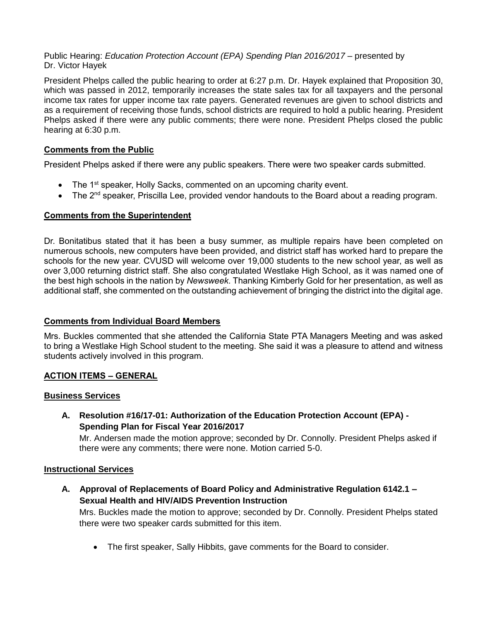### Public Hearing: *Education Protection Account (EPA) Spending Plan 2016/2017 –* presented by Dr. Victor Hayek

President Phelps called the public hearing to order at 6:27 p.m. Dr. Hayek explained that Proposition 30, which was passed in 2012, temporarily increases the state sales tax for all taxpayers and the personal income tax rates for upper income tax rate payers. Generated revenues are given to school districts and as a requirement of receiving those funds, school districts are required to hold a public hearing. President Phelps asked if there were any public comments; there were none. President Phelps closed the public hearing at 6:30 p.m.

### **Comments from the Public**

President Phelps asked if there were any public speakers. There were two speaker cards submitted.

- The 1<sup>st</sup> speaker, Holly Sacks, commented on an upcoming charity event.
- $\bullet$  The 2<sup>nd</sup> speaker, Priscilla Lee, provided vendor handouts to the Board about a reading program.

### **Comments from the Superintendent**

Dr. Bonitatibus stated that it has been a busy summer, as multiple repairs have been completed on numerous schools, new computers have been provided, and district staff has worked hard to prepare the schools for the new year. CVUSD will welcome over 19,000 students to the new school year, as well as over 3,000 returning district staff. She also congratulated Westlake High School, as it was named one of the best high schools in the nation by *Newsweek*. Thanking Kimberly Gold for her presentation, as well as additional staff, she commented on the outstanding achievement of bringing the district into the digital age.

### **Comments from Individual Board Members**

Mrs. Buckles commented that she attended the California State PTA Managers Meeting and was asked to bring a Westlake High School student to the meeting. She said it was a pleasure to attend and witness students actively involved in this program.

### **ACTION ITEMS – GENERAL**

### **Business Services**

**A. Resolution #16/17-01: Authorization of the Education Protection Account (EPA) - Spending Plan for Fiscal Year 2016/2017**

Mr. Andersen made the motion approve; seconded by Dr. Connolly. President Phelps asked if there were any comments; there were none. Motion carried 5-0.

### **Instructional Services**

**A. Approval of Replacements of Board Policy and Administrative Regulation 6142.1 – Sexual Health and HIV/AIDS Prevention Instruction**

Mrs. Buckles made the motion to approve; seconded by Dr. Connolly. President Phelps stated there were two speaker cards submitted for this item.

• The first speaker, Sally Hibbits, gave comments for the Board to consider.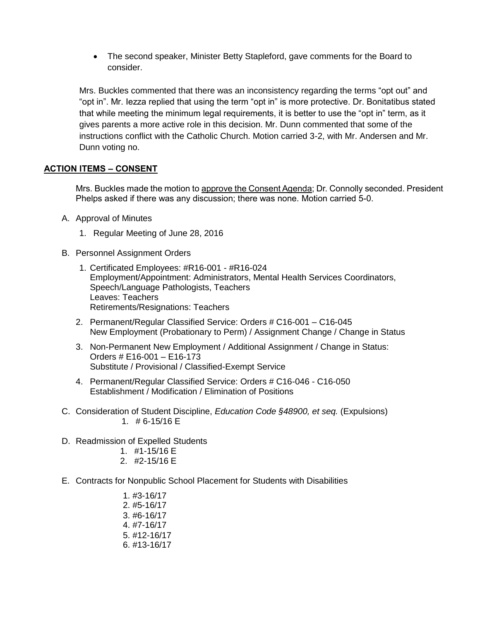The second speaker, Minister Betty Stapleford, gave comments for the Board to consider.

Mrs. Buckles commented that there was an inconsistency regarding the terms "opt out" and "opt in". Mr. Iezza replied that using the term "opt in" is more protective. Dr. Bonitatibus stated that while meeting the minimum legal requirements, it is better to use the "opt in" term, as it gives parents a more active role in this decision. Mr. Dunn commented that some of the instructions conflict with the Catholic Church. Motion carried 3-2, with Mr. Andersen and Mr. Dunn voting no.

### **ACTION ITEMS – CONSENT**

Mrs. Buckles made the motion to approve the Consent Agenda; Dr. Connolly seconded. President Phelps asked if there was any discussion; there was none. Motion carried 5-0.

- A. Approval of Minutes
	- 1. Regular Meeting of June 28, 2016
- B. Personnel Assignment Orders
	- 1. Certificated Employees: #R16-001 #R16-024 Employment/Appointment: Administrators, Mental Health Services Coordinators, Speech/Language Pathologists, Teachers Leaves: Teachers Retirements/Resignations: Teachers
	- 2. Permanent/Regular Classified Service: Orders # C16-001 C16-045 New Employment (Probationary to Perm) / Assignment Change / Change in Status
	- 3. Non-Permanent New Employment / Additional Assignment / Change in Status: Orders # E16-001 – E16-173 Substitute / Provisional / Classified-Exempt Service
	- 4. Permanent/Regular Classified Service: Orders # C16-046 C16-050 Establishment / Modification / Elimination of Positions
- C. Consideration of Student Discipline, *Education Code §48900, et seq.* (Expulsions) 1. # 6-15/16 E
- D. Readmission of Expelled Students
	- 1. #1-15/16 E
	- 2. #2-15/16 E
- E. Contracts for Nonpublic School Placement for Students with Disabilities
	- 1. #3-16/17 2. #5-16/17 3. #6-16/17 4. #7-16/17 5. #12-16/17 6. #13-16/17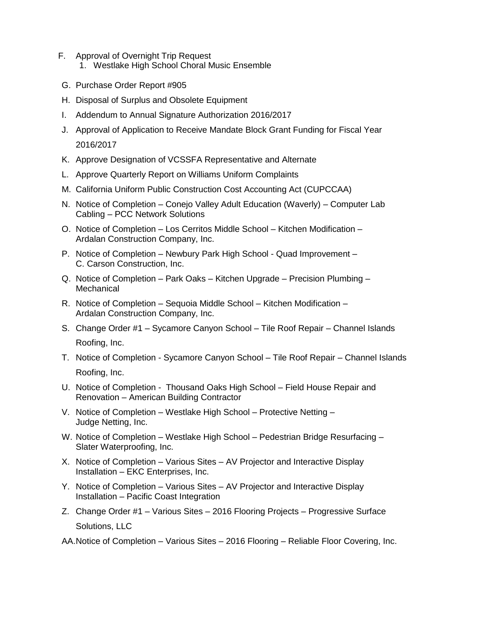- F. Approval of Overnight Trip Request 1. Westlake High School Choral Music Ensemble
- G. Purchase Order Report #905
- H. Disposal of Surplus and Obsolete Equipment
- I. Addendum to Annual Signature Authorization 2016/2017
- J. Approval of Application to Receive Mandate Block Grant Funding for Fiscal Year 2016/2017
- K. Approve Designation of VCSSFA Representative and Alternate
- L. Approve Quarterly Report on Williams Uniform Complaints
- M. California Uniform Public Construction Cost Accounting Act (CUPCCAA)
- N. Notice of Completion Conejo Valley Adult Education (Waverly) Computer Lab Cabling – PCC Network Solutions
- O. Notice of Completion Los Cerritos Middle School Kitchen Modification Ardalan Construction Company, Inc.
- P. Notice of Completion Newbury Park High School Quad Improvement C. Carson Construction, Inc.
- Q. Notice of Completion Park Oaks Kitchen Upgrade Precision Plumbing **Mechanical**
- R. Notice of Completion Sequoia Middle School Kitchen Modification Ardalan Construction Company, Inc.
- S. Change Order #1 Sycamore Canyon School Tile Roof Repair Channel Islands Roofing, Inc.
- T. Notice of Completion Sycamore Canyon School Tile Roof Repair Channel Islands Roofing, Inc.
- U. Notice of Completion Thousand Oaks High School Field House Repair and Renovation – American Building Contractor
- V. Notice of Completion Westlake High School Protective Netting Judge Netting, Inc.
- W. Notice of Completion Westlake High School Pedestrian Bridge Resurfacing Slater Waterproofing, Inc.
- X. Notice of Completion Various Sites AV Projector and Interactive Display Installation – EKC Enterprises, Inc.
- Y. Notice of Completion Various Sites AV Projector and Interactive Display Installation – Pacific Coast Integration
- Z. Change Order #1 Various Sites 2016 Flooring Projects Progressive Surface Solutions, LLC
- AA.Notice of Completion Various Sites 2016 Flooring Reliable Floor Covering, Inc.